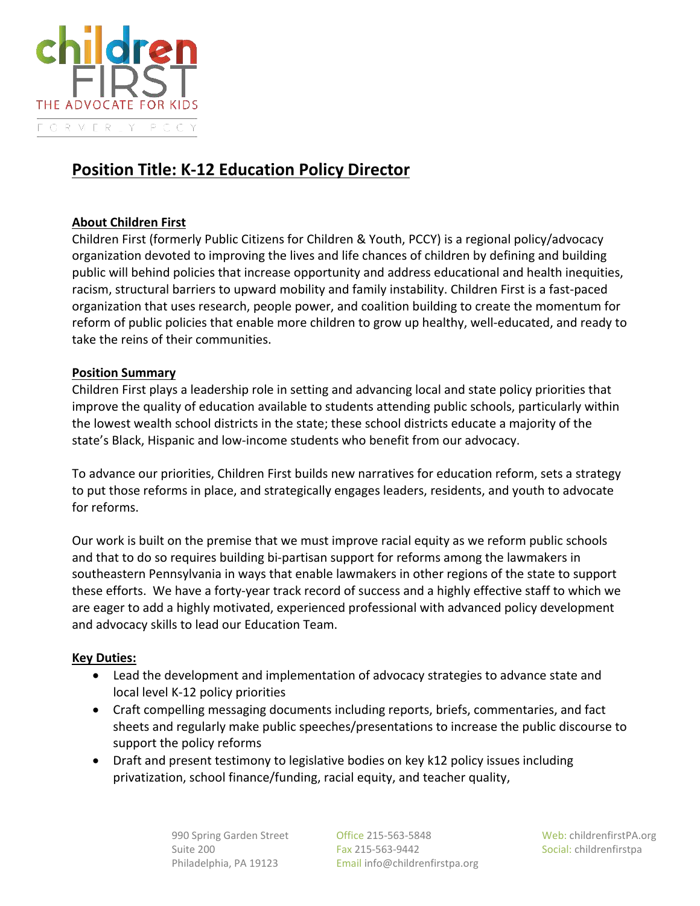

# **Position Title: K-12 Education Policy Director**

## **About Children First**

Children First (formerly Public Citizens for Children & Youth, PCCY) is a regional policy/advocacy organization devoted to improving the lives and life chances of children by defining and building public will behind policies that increase opportunity and address educational and health inequities, racism, structural barriers to upward mobility and family instability. Children First is a fast-paced organization that uses research, people power, and coalition building to create the momentum for reform of public policies that enable more children to grow up healthy, well-educated, and ready to take the reins of their communities.

#### **Position Summary**

Children First plays a leadership role in setting and advancing local and state policy priorities that improve the quality of education available to students attending public schools, particularly within the lowest wealth school districts in the state; these school districts educate a majority of the state's Black, Hispanic and low-income students who benefit from our advocacy.

To advance our priorities, Children First builds new narratives for education reform, sets a strategy to put those reforms in place, and strategically engages leaders, residents, and youth to advocate for reforms.

Our work is built on the premise that we must improve racial equity as we reform public schools and that to do so requires building bi-partisan support for reforms among the lawmakers in southeastern Pennsylvania in ways that enable lawmakers in other regions of the state to support these efforts. We have a forty-year track record of success and a highly effective staff to which we are eager to add a highly motivated, experienced professional with advanced policy development and advocacy skills to lead our Education Team.

# **Key Duties:**

- Lead the development and implementation of advocacy strategies to advance state and local level K-12 policy priorities
- Craft compelling messaging documents including reports, briefs, commentaries, and fact sheets and regularly make public speeches/presentations to increase the public discourse to support the policy reforms
- Draft and present testimony to legislative bodies on key k12 policy issues including privatization, school finance/funding, racial equity, and teacher quality,

990 Spring Garden Street **Office 215-563-5848** Web: childrenfirstPA.org Suite 200 Fax 215-563-9442 Social: childrenfirstpa Philadelphia, PA 19123 Email info@childrenfirstpa.org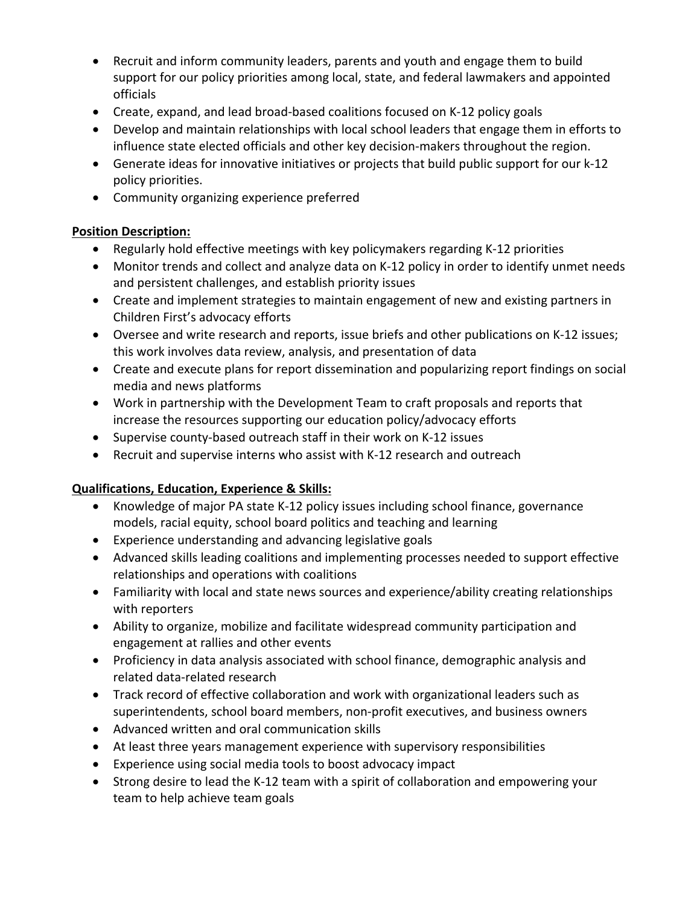- Recruit and inform community leaders, parents and youth and engage them to build support for our policy priorities among local, state, and federal lawmakers and appointed officials
- Create, expand, and lead broad-based coalitions focused on K-12 policy goals
- Develop and maintain relationships with local school leaders that engage them in efforts to influence state elected officials and other key decision-makers throughout the region.
- Generate ideas for innovative initiatives or projects that build public support for our k-12 policy priorities.
- Community organizing experience preferred

# **Position Description:**

- Regularly hold effective meetings with key policymakers regarding K-12 priorities
- Monitor trends and collect and analyze data on K-12 policy in order to identify unmet needs and persistent challenges, and establish priority issues
- Create and implement strategies to maintain engagement of new and existing partners in Children First's advocacy efforts
- Oversee and write research and reports, issue briefs and other publications on K-12 issues; this work involves data review, analysis, and presentation of data
- Create and execute plans for report dissemination and popularizing report findings on social media and news platforms
- Work in partnership with the Development Team to craft proposals and reports that increase the resources supporting our education policy/advocacy efforts
- Supervise county-based outreach staff in their work on K-12 issues
- Recruit and supervise interns who assist with K-12 research and outreach

# **Qualifications, Education, Experience & Skills:**

- Knowledge of major PA state K-12 policy issues including school finance, governance models, racial equity, school board politics and teaching and learning
- Experience understanding and advancing legislative goals
- Advanced skills leading coalitions and implementing processes needed to support effective relationships and operations with coalitions
- Familiarity with local and state news sources and experience/ability creating relationships with reporters
- Ability to organize, mobilize and facilitate widespread community participation and engagement at rallies and other events
- Proficiency in data analysis associated with school finance, demographic analysis and related data-related research
- Track record of effective collaboration and work with organizational leaders such as superintendents, school board members, non-profit executives, and business owners
- Advanced written and oral communication skills
- At least three years management experience with supervisory responsibilities
- Experience using social media tools to boost advocacy impact
- Strong desire to lead the K-12 team with a spirit of collaboration and empowering your team to help achieve team goals